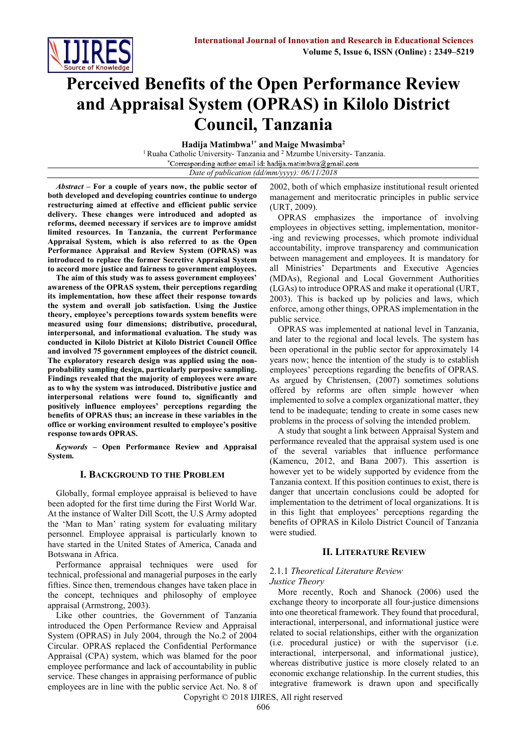

# **Perceived Benefits of the Open Performance Review and Appraisal System (OPRAS) in Kilolo District Council, Tanzania**

**Hadija Matimbwa1\* and Maige Mwasimba<sup>2</sup>**

<sup>1</sup> Ruaha Catholic University- Tanzania and <sup>2</sup> Mzumbe University- Tanzania.<br>\*Corresponding author email id: hadija.matimbwa@gmail.com

*Date of publication (dd/mm/yyyy): 06/11/2018*

*Abstract* **– For a couple of years now, the public sector of both developed and developing countries continue to undergo restructuring aimed at effective and efficient public service delivery. These changes were introduced and adopted as reforms, deemed necessary if services are to improve amidst limited resources. In Tanzania, the current Performance Appraisal System, which is also referred to as the Open Performance Appraisal and Review System (OPRAS) was introduced to replace the former Secretive Appraisal System to accord more justice and fairness to government employees.** 

**The aim of this study was to assess government employees' awareness of the OPRAS system, their perceptions regarding its implementation, how these affect their response towards the system and overall job satisfaction. Using the Justice theory, employee's perceptions towards system benefits were measured using four dimensions; distributive, procedural, interpersonal, and informational evaluation. The study was conducted in Kilolo District at Kilolo District Council Office and involved 75 government employees of the district council. The exploratory research design was applied using the nonprobability sampling design, particularly purposive sampling. Findings revealed that the majority of employees were aware as to why the system was introduced. Distributive justice and interpersonal relations were found to, significantly and positively influence employees' perceptions regarding the benefits of OPRAS thus; an increase in these variables in the office or working environment resulted to employee's positive response towards OPRAS.**

*Keywords* **– Open Performance Review and Appraisal System.**

#### **I. BACKGROUND TO THE PROBLEM**

Globally, formal employee appraisal is believed to have been adopted for the first time during the First World War. At the instance of Walter Dill Scott, the U.S Army adopted the 'Man to Man' rating system for evaluating military personnel. Employee appraisal is particularly known to have started in the United States of America, Canada and Botswana in Africa.

Performance appraisal techniques were used for technical, professional and managerial purposes in the early fifties. Since then, tremendous changes have taken place in the concept, techniques and philosophy of employee appraisal (Armstrong, 2003).

Like other countries, the Government of Tanzania introduced the Open Performance Review and Appraisal System (OPRAS) in July 2004, through the No.2 of 2004 Circular. OPRAS replaced the Confidential Performance Appraisal (CPA) system, which was blamed for the poor employee performance and lack of accountability in public service. These changes in appraising performance of public employees are in line with the public service Act. No. 8 of

2002, both of which emphasize institutional result oriented management and meritocratic principles in public service (URT, 2009).

OPRAS emphasizes the importance of involving employees in objectives setting, implementation, monitor- -ing and reviewing processes, which promote individual accountability, improve transparency and communication between management and employees. It is mandatory for all Ministries' Departments and Executive Agencies (MDAs), Regional and Local Government Authorities (LGAs) to introduce OPRAS and make it operational (URT, 2003). This is backed up by policies and laws, which enforce, among other things, OPRAS implementation in the public service.

OPRAS was implemented at national level in Tanzania, and later to the regional and local levels. The system has been operational in the public sector for approximately 14 years now; hence the intention of the study is to establish employees' perceptions regarding the benefits of OPRAS. As argued by Christensen, (2007) sometimes solutions offered by reforms are often simple however when implemented to solve a complex organizational matter, they tend to be inadequate; tending to create in some cases new problems in the process of solving the intended problem.

A study that sought a link between Appraisal System and performance revealed that the appraisal system used is one of the several variables that influence performance (Kamencu, 2012, and Bana 2007). This assertion is however yet to be widely supported by evidence from the Tanzania context. If this position continues to exist, there is danger that uncertain conclusions could be adopted for implementation to the detriment of local organizations. It is in this light that employees' perceptions regarding the benefits of OPRAS in Kilolo District Council of Tanzania were studied.

## **II. LITERATURE REVIEW**

#### 2.1.1 *Theoretical Literature Review Justice Theory*

More recently, Roch and Shanock (2006) used the exchange theory to incorporate all four-justice dimensions into one theoretical framework. They found that procedural, interactional, interpersonal, and informational justice were related to social relationships, either with the organization (i.e. procedural justice) or with the supervisor (i.e. interactional, interpersonal, and informational justice), whereas distributive justice is more closely related to an economic exchange relationship. In the current studies, this integrative framework is drawn upon and specifically

Copyright © 2018 IJIRES, All right reserved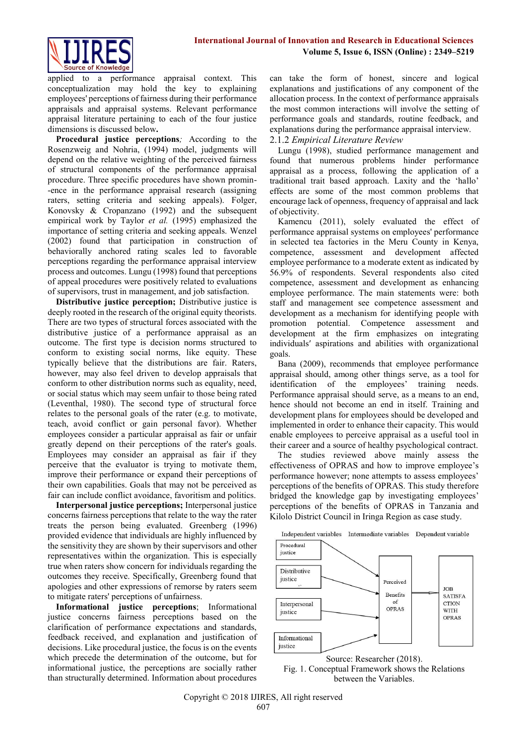

applied to a performance appraisal context. This conceptualization may hold the key to explaining employees' perceptions of fairness during their performance appraisals and appraisal systems. Relevant performance appraisal literature pertaining to each of the four justice dimensions is discussed below**.**

**Procedural justice perceptions***;* According to the Rosenzweig and Nohria, (1994) model, judgments will depend on the relative weighting of the perceived fairness of structural components of the performance appraisal procedure. Three specific procedures have shown promin- -ence in the performance appraisal research (assigning raters, setting criteria and seeking appeals). Folger, Konovsky & Cropanzano (1992) and the subsequent empirical work by Taylor *et al.* (1995) emphasized the importance of setting criteria and seeking appeals. Wenzel (2002) found that participation in construction of behaviorally anchored rating scales led to favorable perceptions regarding the performance appraisal interview process and outcomes. Lungu (1998) found that perceptions of appeal procedures were positively related to evaluations of supervisors, trust in management, and job satisfaction.

**Distributive justice perception;** Distributive justice is deeply rooted in the research of the original equity theorists. There are two types of structural forces associated with the distributive justice of a performance appraisal as an outcome. The first type is decision norms structured to conform to existing social norms, like equity. These typically believe that the distributions are fair. Raters, however, may also feel driven to develop appraisals that conform to other distribution norms such as equality, need, or social status which may seem unfair to those being rated (Leventhal, 1980). The second type of structural force relates to the personal goals of the rater (e.g. to motivate, teach, avoid conflict or gain personal favor). Whether employees consider a particular appraisal as fair or unfair greatly depend on their perceptions of the rater's goals. Employees may consider an appraisal as fair if they perceive that the evaluator is trying to motivate them, improve their performance or expand their perceptions of their own capabilities. Goals that may not be perceived as fair can include conflict avoidance, favoritism and politics.

**Interpersonal justice perceptions;** Interpersonal justice concerns fairness perceptions that relate to the way the rater treats the person being evaluated. Greenberg (1996) provided evidence that individuals are highly influenced by the sensitivity they are shown by their supervisors and other representatives within the organization. This is especially true when raters show concern for individuals regarding the outcomes they receive. Specifically, Greenberg found that apologies and other expressions of remorse by raters seem to mitigate raters' perceptions of unfairness.

**Informational justice perceptions**; Informational justice concerns fairness perceptions based on the clarification of performance expectations and standards, feedback received, and explanation and justification of decisions. Like procedural justice, the focus is on the events which precede the determination of the outcome, but for informational justice, the perceptions are socially rather than structurally determined. Information about procedures can take the form of honest, sincere and logical explanations and justifications of any component of the allocation process. In the context of performance appraisals the most common interactions will involve the setting of performance goals and standards, routine feedback, and explanations during the performance appraisal interview.

# 2.1.2 *Empirical Literature Review*

Lungu (1998), studied performance management and found that numerous problems hinder performance appraisal as a process, following the application of a traditional trait based approach. Laxity and the 'hallo' effects are some of the most common problems that encourage lack of openness, frequency of appraisal and lack of objectivity.

Kamencu (2011), solely evaluated the effect of performance appraisal systems on employees' performance in selected tea factories in the Meru County in Kenya, competence, assessment and development affected employee performance to a moderate extent as indicated by 56.9% of respondents. Several respondents also cited competence, assessment and development as enhancing employee performance. The main statements were: both staff and management see competence assessment and development as a mechanism for identifying people with promotion potential. Competence assessment and development at the firm emphasizes on integrating individuals′ aspirations and abilities with organizational goals.

Bana (2009), recommends that employee performance appraisal should, among other things serve, as a tool for identification of the employees' training needs. Performance appraisal should serve, as a means to an end, hence should not become an end in itself. Training and development plans for employees should be developed and implemented in order to enhance their capacity. This would enable employees to perceive appraisal as a useful tool in their career and a source of healthy psychological contract.

The studies reviewed above mainly assess the effectiveness of OPRAS and how to improve employee's performance however; none attempts to assess employees' perceptions of the benefits of OPRAS. This study therefore bridged the knowledge gap by investigating employees' perceptions of the benefits of OPRAS in Tanzania and Kilolo District Council in Iringa Region as case study.

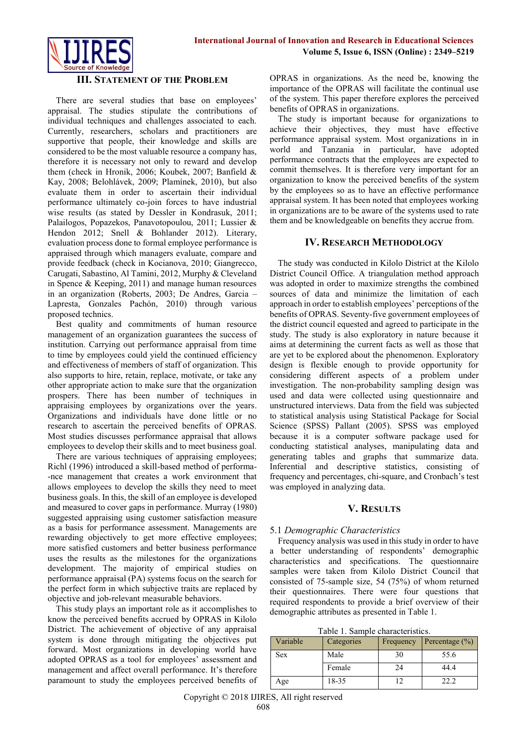

### **III. STATEMENT OF THE PROBLEM**

There are several studies that base on employees' appraisal. The studies stipulate the contributions of individual techniques and challenges associated to each. Currently, researchers, scholars and practitioners are supportive that people, their knowledge and skills are considered to be the most valuable resource a company has, therefore it is necessary not only to reward and develop them (check in Hronik, 2006; Koubek, 2007; Banfield & Kay, 2008; Belohlávek, 2009; Plamínek, 2010), but also evaluate them in order to ascertain their individual performance ultimately co-join forces to have industrial wise results (as stated by Dessler in Kondrasuk, 2011; Palailogos, Popazekos, Panavotopoulou, 2011; Lussier & Hendon 2012; Snell & Bohlander 2012). Literary, evaluation process done to formal employee performance is appraised through which managers evaluate, compare and provide feedback (check in Kocianova, 2010; Giangrecco, Carugati, Sabastino, Al Tamini, 2012, Murphy & Cleveland in Spence & Keeping, 2011) and manage human resources in an organization (Roberts, 2003; De Andres, Garcia – Lapresta, Gonzales Pachón, 2010) through various proposed technics.

Best quality and commitments of human resource management of an organization guarantees the success of institution. Carrying out performance appraisal from time to time by employees could yield the continued efficiency and effectiveness of members of staff of organization. This also supports to hire, retain, replace, motivate, or take any other appropriate action to make sure that the organization prospers. There has been number of techniques in appraising employees by organizations over the years. Organizations and individuals have done little or no research to ascertain the perceived benefits of OPRAS. Most studies discusses performance appraisal that allows employees to develop their skills and to meet business goal.

There are various techniques of appraising employees; Richl (1996) introduced a skill-based method of performa- -nce management that creates a work environment that allows employees to develop the skills they need to meet business goals. In this, the skill of an employee is developed and measured to cover gaps in performance. Murray (1980) suggested appraising using customer satisfaction measure as a basis for performance assessment. Managements are rewarding objectively to get more effective employees; more satisfied customers and better business performance uses the results as the milestones for the organizations development. The majority of empirical studies on performance appraisal (PA) systems focus on the search for the perfect form in which subjective traits are replaced by objective and job-relevant measurable behaviors.

This study plays an important role as it accomplishes to know the perceived benefits accrued by OPRAS in Kilolo District. The achievement of objective of any appraisal system is done through mitigating the objectives put forward. Most organizations in developing world have adopted OPRAS as a tool for employees' assessment and management and affect overall performance. It's therefore paramount to study the employees perceived benefits of OPRAS in organizations. As the need be, knowing the importance of the OPRAS will facilitate the continual use of the system. This paper therefore explores the perceived benefits of OPRAS in organizations.

The study is important because for organizations to achieve their objectives, they must have effective performance appraisal system. Most organizations in in world and Tanzania in particular, have adopted performance contracts that the employees are expected to commit themselves. It is therefore very important for an organization to know the perceived benefits of the system by the employees so as to have an effective performance appraisal system. It has been noted that employees working in organizations are to be aware of the systems used to rate them and be knowledgeable on benefits they accrue from.

#### **IV. RESEARCH METHODOLOGY**

The study was conducted in Kilolo District at the Kilolo District Council Office. A triangulation method approach was adopted in order to maximize strengths the combined sources of data and minimize the limitation of each approach in order to establish employees' perceptions of the benefits of OPRAS. Seventy-five government employees of the district council equested and agreed to participate in the study. The study is also exploratory in nature because it aims at determining the current facts as well as those that are yet to be explored about the phenomenon. Exploratory design is flexible enough to provide opportunity for considering different aspects of a problem under investigation. The non-probability sampling design was used and data were collected using questionnaire and unstructured interviews. Data from the field was subjected to statistical analysis using Statistical Package for Social Science (SPSS) Pallant (2005). SPSS was employed because it is a computer software package used for conducting statistical analyses, manipulating data and generating tables and graphs that summarize data. Inferential and descriptive statistics, consisting of frequency and percentages, chi-square, and Cronbach's test was employed in analyzing data.

# **V. RESULTS**

#### 5.1 *Demographic Characteristics*

Frequency analysis was used in this study in order to have a better understanding of respondents' demographic characteristics and specifications. The questionnaire samples were taken from Kilolo District Council that consisted of 75-sample size, 54 (75%) of whom returned their questionnaires. There were four questions that required respondents to provide a brief overview of their demographic attributes as presented in Table 1.

Table 1. Sample characteristics.

| Tuolo 1. oulliolo churuotelliolo. |            |           |                    |  |  |  |  |  |
|-----------------------------------|------------|-----------|--------------------|--|--|--|--|--|
| Variable                          | Categories | Frequency | Percentage $(\% )$ |  |  |  |  |  |
| <b>Sex</b>                        | Male       | 30        | 55.6               |  |  |  |  |  |
|                                   | Female     | 24        | 44.4               |  |  |  |  |  |
| Age                               | 18-35      |           | 22.2               |  |  |  |  |  |

Copyright © 2018 IJIRES, All right reserved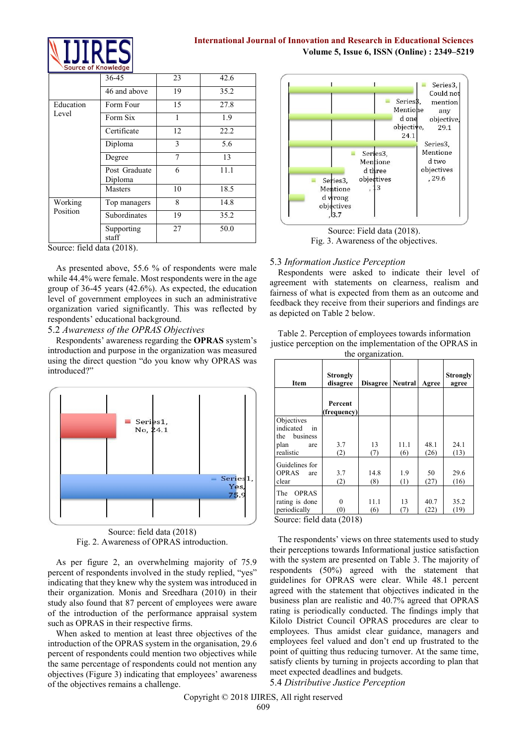

# **International Journal of Innovation and Research in Educational Sciences Volume 5, Issue 6, ISSN (Online) : 2349–5219**

|           | 36-45                    | 23 | 42.6 |
|-----------|--------------------------|----|------|
|           | 46 and above             | 19 | 35.2 |
| Education | Form Four                | 15 | 27.8 |
| Level     | Form Six                 |    | 1.9  |
|           | Certificate              | 12 | 22.2 |
|           | Diploma                  | 3  | 5.6  |
|           | Degree                   | 7  | 13   |
|           | Post Graduate<br>Diploma | 6  | 11.1 |
|           | Masters                  | 10 | 18.5 |
| Working   | Top managers             | 8  | 14.8 |
| Position  | Subordinates             | 19 | 35.2 |
|           | Supporting<br>staff      | 27 | 50.0 |

Source: field data (2018).

As presented above, 55.6 % of respondents were male while 44.4% were female. Most respondents were in the age group of 36-45 years (42.6%). As expected, the education level of government employees in such an administrative organization varied significantly. This was reflected by respondents' educational background.

5.2 *Awareness of the OPRAS Objectives*

Respondents' awareness regarding the **OPRAS** system's introduction and purpose in the organization was measured using the direct question "do you know why OPRAS was introduced?"



Source: field data (2018) Fig. 2. Awareness of OPRAS introduction.

As per figure 2, an overwhelming majority of 75.9 percent of respondents involved in the study replied, "yes" indicating that they knew why the system was introduced in their organization. Monis and Sreedhara (2010) in their study also found that 87 percent of employees were aware of the introduction of the performance appraisal system such as OPRAS in their respective firms.

When asked to mention at least three objectives of the introduction of the OPRAS system in the organisation, 29.6 percent of respondents could mention two objectives while the same percentage of respondents could not mention any objectives (Figure 3) indicating that employees' awareness of the objectives remains a challenge.



Source: Field data (2018). Fig. 3. Awareness of the objectives.

#### 5.3 *Information Justice Perception*

Respondents were asked to indicate their level of agreement with statements on clearness, realism and fairness of what is expected from them as an outcome and feedback they receive from their superiors and findings are as depicted on Table 2 below.

Table 2. Perception of employees towards information justice perception on the implementation of the OPRAS in the organization.

| Item                                                                                               | <b>Strongly</b><br>disagree | <b>Disagree</b> | <b>Neutral</b> | Agree        | <b>Strongly</b><br>agree |
|----------------------------------------------------------------------------------------------------|-----------------------------|-----------------|----------------|--------------|--------------------------|
|                                                                                                    | Percent<br>(frequency)      |                 |                |              |                          |
| Objectives<br>indicated<br>in<br>business<br>the<br>plan<br>are<br>realistic                       | 3.7<br>(2)                  | 13<br>(7)       | 11.1<br>(6)    | 48.1<br>(26) | 24.1<br>(13)             |
| Guidelines for<br><b>OPRAS</b><br>are<br>clear                                                     | 3.7<br>(2)                  | 14.8<br>(8)     | 1.9<br>(1)     | 50<br>(27)   | 29.6<br>(16)             |
| <b>OPRAS</b><br>The<br>rating is done<br>periodically<br>$\Omega_{\text{OUTOQ}}$ field data (2018) | 0<br>(0)                    | 11.1<br>(6)     | 13<br>(7)      | 40.7<br>(22) | 35.2<br>(19)             |

Source: field data (2018)

The respondents' views on three statements used to study their perceptions towards Informational justice satisfaction with the system are presented on Table 3. The majority of respondents (50%) agreed with the statement that guidelines for OPRAS were clear. While 48.1 percent agreed with the statement that objectives indicated in the business plan are realistic and 40.7% agreed that OPRAS rating is periodically conducted. The findings imply that Kilolo District Council OPRAS procedures are clear to employees. Thus amidst clear guidance, managers and employees feel valued and don't end up frustrated to the point of quitting thus reducing turnover. At the same time, satisfy clients by turning in projects according to plan that meet expected deadlines and budgets.

# 5.4 *Distributive Justice Perception*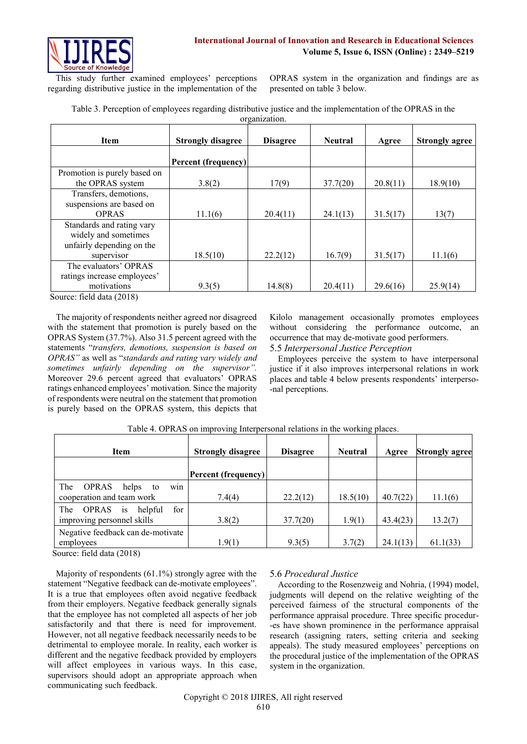

This study further examined employees' perceptions regarding distributive justice in the implementation of the

OPRAS system in the organization and findings are as presented on table 3 below.

| Table 3. Perception of employees regarding distributive justice and the implementation of the OPRAS in the |
|------------------------------------------------------------------------------------------------------------|
| organization                                                                                               |

| <b>Item</b>                  | <b>Strongly disagree</b>   | <b>Disagree</b><br><b>Neutral</b> |          | Agree    | <b>Strongly agree</b> |  |
|------------------------------|----------------------------|-----------------------------------|----------|----------|-----------------------|--|
|                              | <b>Percent (frequency)</b> |                                   |          |          |                       |  |
| Promotion is purely based on |                            |                                   |          |          |                       |  |
| the OPRAS system             | 3.8(2)                     | 17(9)                             | 37.7(20) | 20.8(11) | 18.9(10)              |  |
| Transfers, demotions,        |                            |                                   |          |          |                       |  |
| suspensions are based on     |                            |                                   |          |          |                       |  |
| <b>OPRAS</b>                 | 11.1(6)                    | 20.4(11)                          | 24.1(13) | 31.5(17) | 13(7)                 |  |
| Standards and rating vary    |                            |                                   |          |          |                       |  |
| widely and sometimes         |                            |                                   |          |          |                       |  |
| unfairly depending on the    |                            |                                   |          |          |                       |  |
| supervisor                   | 18.5(10)                   | 22.2(12)                          | 16.7(9)  | 31.5(17) | 11.1(6)               |  |
| The evaluators' OPRAS        |                            |                                   |          |          |                       |  |
| ratings increase employees'  |                            |                                   |          |          |                       |  |
| motivations                  | 9.3(5)                     | 14.8(8)                           | 20.4(11) | 29.6(16) | 25.9(14)              |  |

Source: field data (2018)

The majority of respondents neither agreed nor disagreed with the statement that promotion is purely based on the OPRAS System (37.7%). Also 31.5 percent agreed with the statements "*transfers, demotions, suspension is based on OPRAS"* as well as "*standards and rating vary widely and sometimes unfairly depending on the supervisor".*  Moreover 29.6 percent agreed that evaluators' OPRAS ratings enhanced employees' motivation*.* Since the majority of respondents were neutral on the statement that promotion is purely based on the OPRAS system, this depicts that Kilolo management occasionally promotes employees without considering the performance outcome, an occurrence that may de-motivate good performers. 5.5 *Interpersonal Justice Perception*

Employees perceive the system to have interpersonal justice if it also improves interpersonal relations in work places and table 4 below presents respondents' interperso- -nal perceptions.

| <b>Item</b>                                 | <b>Strongly disagree</b>   | <b>Disagree</b> | <b>Neutral</b> | Agree    | <b>Strongly agree</b> |
|---------------------------------------------|----------------------------|-----------------|----------------|----------|-----------------------|
|                                             | <b>Percent (frequency)</b> |                 |                |          |                       |
| win<br>The<br><b>OPRAS</b><br>helps<br>to   |                            |                 |                |          |                       |
| cooperation and team work                   | 7.4(4)                     | 22.2(12)        | 18.5(10)       | 40.7(22) | 11.1(6)               |
| for<br>The<br><b>OPRAS</b><br>helpful<br>1S |                            |                 |                |          |                       |
| improving personnel skills                  | 3.8(2)                     | 37.7(20)        | 1.9(1)         | 43.4(23) | 13.2(7)               |
| Negative feedback can de-motivate           |                            |                 |                |          |                       |
| employees                                   | 1.9(1)                     | 9.3(5)          | 3.7(2)         | 24.1(13) | 61.1(33)              |

Table 4. OPRAS on improving Interpersonal relations in the working places.

Source: field data (2018)

Majority of respondents (61.1%) strongly agree with the statement "Negative feedback can de-motivate employees". It is a true that employees often avoid negative feedback from their employers. Negative feedback generally signals that the employee has not completed all aspects of her job satisfactorily and that there is need for improvement. However, not all negative feedback necessarily needs to be detrimental to employee morale. In reality, each worker is different and the negative feedback provided by employers will affect employees in various ways. In this case, supervisors should adopt an appropriate approach when communicating such feedback.

# 5.6 *Procedural Justice*

According to the Rosenzweig and Nohria, (1994) model, judgments will depend on the relative weighting of the perceived fairness of the structural components of the performance appraisal procedure. Three specific procedur- -es have shown prominence in the performance appraisal research (assigning raters, setting criteria and seeking appeals). The study measured employees' perceptions on the procedural justice of the implementation of the OPRAS system in the organization.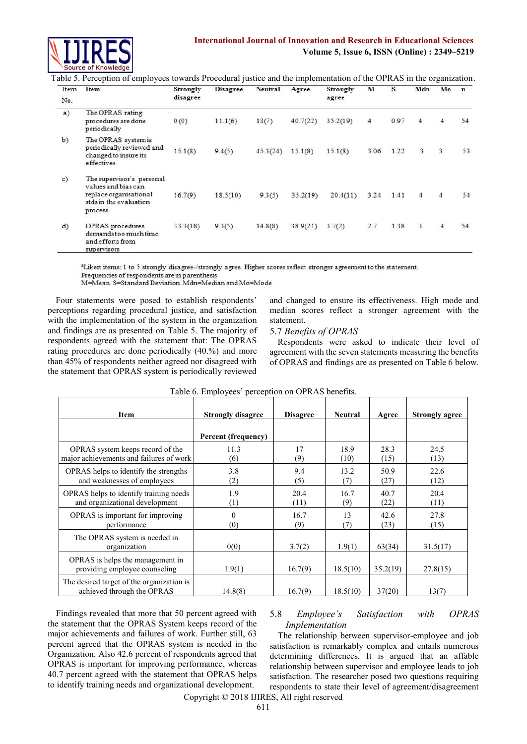

# **International Journal of Innovation and Research in Educational Sciences Volume 5, Issue 6, ISSN (Online) : 2349–5219**

Table 5. Perception of employees towards Procedural justice and the implementation of the OPRAS in the organization.

| Item | Item                                                                                                            | Strongly<br>disagree | <b>Disagree</b> | <b>Neutral</b> | Agree    | Strongly<br>agree | М    | s    | Mdn | Mo             | $\mathbf n$ |
|------|-----------------------------------------------------------------------------------------------------------------|----------------------|-----------------|----------------|----------|-------------------|------|------|-----|----------------|-------------|
| No.  |                                                                                                                 |                      |                 |                |          |                   |      |      |     |                |             |
| a)   | The OPRAS rating<br>procedures are done<br>periodically                                                         | 0(0)                 | 11.1(6)         | 13(7)          | 40.7(22) | 35.2(19)          | 4    | 0.97 | 4   |                | 54          |
| b)   | The OPRAS system is<br>periodically reviewed and<br>changed to insure its<br>effectives                         | 15.1(8)              | 9.4(5)          | 45.3(24)       | 15.1(8)  | 15.1(8)           | 3.06 | 1.22 | 3   | 3              | 53          |
| c)   | The supervisor's personal<br>values and bias can<br>replace organisational<br>stds in the evaluation<br>process | 16.7(9)              | 18.5(10)        | 9.3(5)         | 35.2(19) | 20.4(11)          | 3.24 | 1.41 | 4   | $\overline{4}$ | 54          |
| d)   | <b>OPRAS</b> procedures<br>demands too much time<br>and efforts from<br>supervisors                             | 33.3(18)             | 9.3(5)          | 14.8(8)        | 38.9(21) | 3.7(2)            | 2.7  | 1.38 | 3.  | 4              | 54          |

aLikert items: 1 to 5 strongly disagree-/strongly agree. Higher scores reflect stronger agreement to the statement. Frequencies of respondents are in parenthesis

M=Mean, S=Standard Deviation, Mdn=Median and Mo=Mode

Four statements were posed to establish respondents' perceptions regarding procedural justice, and satisfaction with the implementation of the system in the organization and findings are as presented on Table 5. The majority of respondents agreed with the statement that: The OPRAS rating procedures are done periodically (40.%) and more than 45% of respondents neither agreed nor disagreed with the statement that OPRAS system is periodically reviewed

and changed to ensure its effectiveness. High mode and median scores reflect a stronger agreement with the statement.

## 5.7 *Benefits of OPRAS*

Respondents were asked to indicate their level of agreement with the seven statements measuring the benefits of OPRAS and findings are as presented on Table 6 below.

| <b>Item</b>                                                                 | <b>Strongly disagree</b>   | <b>Disagree</b> | <b>Neutral</b> | Agree        | <b>Strongly agree</b> |
|-----------------------------------------------------------------------------|----------------------------|-----------------|----------------|--------------|-----------------------|
|                                                                             | <b>Percent (frequency)</b> |                 |                |              |                       |
| OPRAS system keeps record of the<br>major achievements and failures of work | 11.3<br>(6)                | 17<br>(9)       | 18.9<br>(10)   | 28.3<br>(15) | 24.5<br>(13)          |
| <b>OPRAS</b> helps to identify the strengths<br>and weaknesses of employees | 3.8<br>(2)                 | 9.4<br>(5)      | 13.2<br>(7)    | 50.9<br>(27) | 22.6<br>(12)          |
| OPRAS helps to identify training needs<br>and organizational development    | 1.9<br>(1)                 | 20.4<br>(11)    | 16.7<br>(9)    | 40.7<br>(22) | 20.4<br>(11)          |
| OPRAS is important for improving<br>performance                             | $\Omega$<br>(0)            | 16.7<br>(9)     | 13<br>(7)      | 42.6<br>(23) | 27.8<br>(15)          |
| The OPRAS system is needed in<br>organization                               | 0(0)                       | 3.7(2)          | 1.9(1)         | 63(34)       | 31.5(17)              |
| OPRAS is helps the management in<br>providing employee counseling           | 1.9(1)                     | 16.7(9)         | 18.5(10)       | 35.2(19)     | 27.8(15)              |
| The desired target of the organization is<br>achieved through the OPRAS     | 14.8(8)                    | 16.7(9)         | 18.5(10)       | 37(20)       | 13(7)                 |

Table 6. Employees' perception on OPRAS benefits.

Findings revealed that more that 50 percent agreed with the statement that the OPRAS System keeps record of the major achievements and failures of work. Further still, 63 percent agreed that the OPRAS system is needed in the Organization. Also 42.6 percent of respondents agreed that OPRAS is important for improving performance, whereas 40.7 percent agreed with the statement that OPRAS helps to identify training needs and organizational development.

# 5.8 *Employee's Satisfaction with OPRAS Implementation*

The relationship between supervisor-employee and job satisfaction is remarkably complex and entails numerous determining differences. It is argued that an affable relationship between supervisor and employee leads to job satisfaction. The researcher posed two questions requiring respondents to state their level of agreement/disagreement

# Copyright © 2018 IJIRES, All right reserved